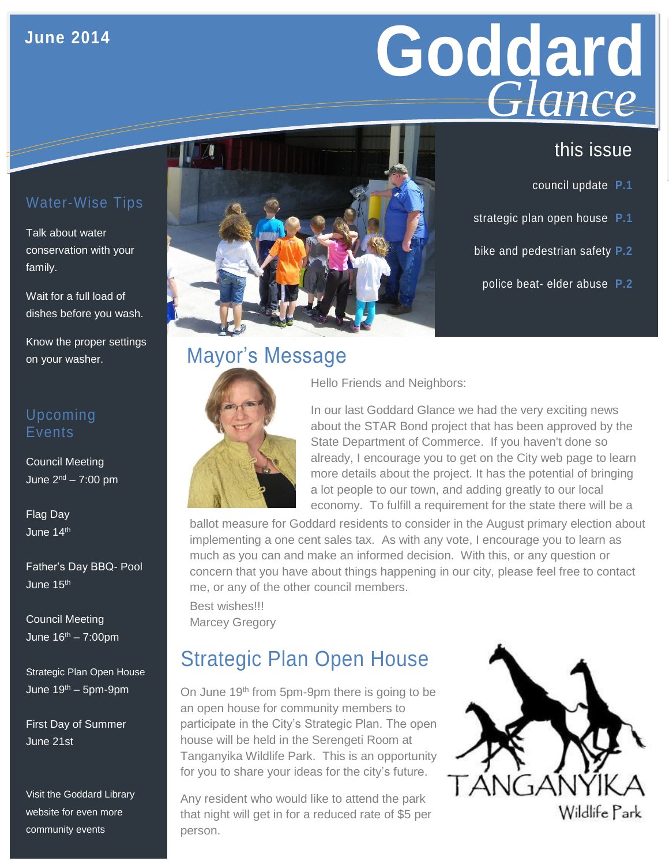### **June 2014**

# **Goddard GLANCE**<br>this issue *Glance*

- council update **P.1**
- strategic plan open house **P.1**
- bike and pedestrian safety **P.2**
- police beat- elder abuse **P.2**

#### Water-Wise Tips

Talk about water conservation with your family.

Wait for a full load of dishes before you wash.

Know the proper settings on your washer.

#### Upcoming Events

Council Meeting June 2nd – 7:00 pm

Flag Day June 14th

Father's Day BBQ- Pool June 15th

Council Meeting June  $16^{th} - 7:00$ pm

Strategic Plan Open House June  $19<sup>th</sup> - 5pm-9pm$ 

First Day of Summer June 21st

Visit the Goddard Library website for even more community events



# Mayor's Message



Hello Friends and Neighbors:

In our last Goddard Glance we had the very exciting news about the STAR Bond project that has been approved by the State Department of Commerce. If you haven't done so already, I encourage you to get on the City web page to learn more details about the project. It has the potential of bringing a lot people to our town, and adding greatly to our local economy. To fulfill a requirement for the state there will be a

ballot measure for Goddard residents to consider in the August primary election about implementing a one cent sales tax. As with any vote, I encourage you to learn as much as you can and make an informed decision. With this, or any question or concern that you have about things happening in our city, please feel free to contact me, or any of the other council members.

Best wishes!!! Marcey Gregory

# Strategic Plan Open House

On June 19<sup>th</sup> from 5pm-9pm there is going to be an open house for community members to participate in the City's Strategic Plan. The open house will be held in the Serengeti Room at Tanganyika Wildlife Park. This is an opportunity for you to share your ideas for the city's future.

Any resident who would like to attend the park that night will get in for a reduced rate of \$5 per person.